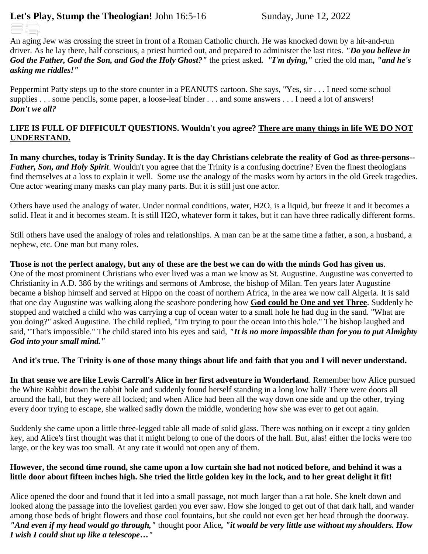# **Let's Play, Stump the Theologian!** John 16:5-16 Sunday, June 12, 2022

An aging Jew was crossing the street in front of a Roman Catholic church. He was knocked down by a hit-and-run driver. As he lay there, half conscious, a priest hurried out, and prepared to administer the last rites. *"Do you believe in God the Father, God the Son, and God the Holy Ghost?"* the priest asked*. "I'm dying,"* cried the old man*, "and he's asking me riddles!"*

Peppermint Patty steps up to the store counter in a PEANUTS cartoon. She says, "Yes, sir . . . I need some school supplies . . . some pencils, some paper, a loose-leaf binder . . . and some answers . . . I need a lot of answers! *Don't we all?*

# **LIFE IS FULL OF DIFFICULT QUESTIONS. Wouldn't you agree? There are many things in life WE DO NOT UNDERSTAND.**

**In many churches, today is Trinity Sunday. It is the day Christians celebrate the reality of God as three-persons--** *Father, Son, and Holy Spirit*. Wouldn't you agree that the Trinity is a confusing doctrine? Even the finest theologians find themselves at a loss to explain it well. Some use the analogy of the masks worn by actors in the old Greek tragedies. One actor wearing many masks can play many parts. But it is still just one actor.

Others have used the analogy of water. Under normal conditions, water, H2O, is a liquid, but freeze it and it becomes a solid. Heat it and it becomes steam. It is still H2O, whatever form it takes, but it can have three radically different forms.

Still others have used the analogy of roles and relationships. A man can be at the same time a father, a son, a husband, a nephew, etc. One man but many roles.

**Those is not the perfect analogy, but any of these are the best we can do with the minds God has given us**. One of the most prominent Christians who ever lived was a man we know as St. Augustine. Augustine was converted to Christianity in A.D. 386 by the writings and sermons of Ambrose, the bishop of Milan. Ten years later Augustine became a bishop himself and served at Hippo on the coast of northern Africa, in the area we now call Algeria. It is said that one day Augustine was walking along the seashore pondering how **God could be One and yet Three**. Suddenly he stopped and watched a child who was carrying a cup of ocean water to a small hole he had dug in the sand. "What are you doing?" asked Augustine. The child replied, "I'm trying to pour the ocean into this hole." The bishop laughed and said, "That's impossible." The child stared into his eyes and said, *"It is no more impossible than for you to put Almighty God into your small mind."* 

# **And it's true. The Trinity is one of those many things about life and faith that you and I will never understand.**

**In that sense we are like Lewis Carroll's Alice in her first adventure in Wonderland**. Remember how Alice pursued the White Rabbit down the rabbit hole and suddenly found herself standing in a long low hall? There were doors all around the hall, but they were all locked; and when Alice had been all the way down one side and up the other, trying every door trying to escape, she walked sadly down the middle, wondering how she was ever to get out again.

Suddenly she came upon a little three-legged table all made of solid glass. There was nothing on it except a tiny golden key, and Alice's first thought was that it might belong to one of the doors of the hall. But, alas! either the locks were too large, or the key was too small. At any rate it would not open any of them.

#### **However, the second time round, she came upon a low curtain she had not noticed before, and behind it was a little door about fifteen inches high. She tried the little golden key in the lock, and to her great delight it fit!**

Alice opened the door and found that it led into a small passage, not much larger than a rat hole. She knelt down and looked along the passage into the loveliest garden you ever saw. How she longed to get out of that dark hall, and wander among those beds of bright flowers and those cool fountains, but she could not even get her head through the doorway. *"And even if my head would go through,"* thought poor Alice*, "it would be very little use without my shoulders. How I wish I could shut up like a telescope…"*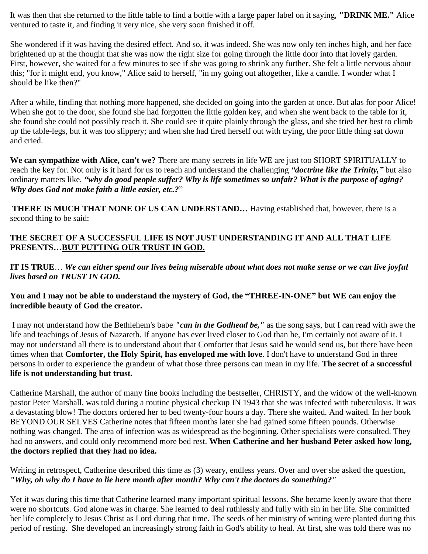It was then that she returned to the little table to find a bottle with a large paper label on it saying, **"DRINK ME."** Alice ventured to taste it, and finding it very nice, she very soon finished it off.

She wondered if it was having the desired effect. And so, it was indeed. She was now only ten inches high, and her face brightened up at the thought that she was now the right size for going through the little door into that lovely garden. First, however, she waited for a few minutes to see if she was going to shrink any further. She felt a little nervous about this; "for it might end, you know," Alice said to herself, "in my going out altogether, like a candle. I wonder what I should be like then?"

After a while, finding that nothing more happened, she decided on going into the garden at once. But alas for poor Alice! When she got to the door, she found she had forgotten the little golden key, and when she went back to the table for it, she found she could not possibly reach it. She could see it quite plainly through the glass, and she tried her best to climb up the table-legs, but it was too slippery; and when she had tired herself out with trying, the poor little thing sat down and cried.

**We can sympathize with Alice, can't we?** There are many secrets in life WE are just too SHORT SPIRITUALLY to reach the key for. Not only is it hard for us to reach and understand the challenging *"doctrine like the Trinity,"* but also ordinary matters like, *"why do good people suffer? Why is life sometimes so unfair? What is the purpose of aging? Why does God not make faith a little easier, etc.?*"

**THERE IS MUCH THAT NONE OF US CAN UNDERSTAND…** Having established that, however, there is a second thing to be said:

# **THE SECRET OF A SUCCESSFUL LIFE IS NOT JUST UNDERSTANDING IT AND ALL THAT LIFE PRESENTS…BUT PUTTING OUR TRUST IN GOD.**

**IT IS TRUE**… *We can either spend our lives being miserable about what does not make sense or we can live joyful lives based on TRUST IN GOD.* 

# **You and I may not be able to understand the mystery of God, the "THREE-IN-ONE" but WE can enjoy the incredible beauty of God the creator.**

I may not understand how the Bethlehem's babe *"can in the Godhead be,"* as the song says, but I can read with awe the life and teachings of Jesus of Nazareth. If anyone has ever lived closer to God than he, I'm certainly not aware of it. I may not understand all there is to understand about that Comforter that Jesus said he would send us, but there have been times when that **Comforter, the Holy Spirit, has enveloped me with love**. I don't have to understand God in three persons in order to experience the grandeur of what those three persons can mean in my life. **The secret of a successful life is not understanding but trust.**

Catherine Marshall, the author of many fine books including the bestseller, CHRISTY, and the widow of the well-known pastor Peter Marshall, was told during a routine physical checkup IN 1943 that she was infected with tuberculosis. It was a devastating blow! The doctors ordered her to bed twenty-four hours a day. There she waited. And waited. In her book BEYOND OUR SELVES Catherine notes that fifteen months later she had gained some fifteen pounds. Otherwise nothing was changed. The area of infection was as widespread as the beginning. Other specialists were consulted. They had no answers, and could only recommend more bed rest. **When Catherine and her husband Peter asked how long, the doctors replied that they had no idea.**

Writing in retrospect, Catherine described this time as (3) weary, endless years. Over and over she asked the question, *"Why, oh why do I have to lie here month after month? Why can't the doctors do something?"*

Yet it was during this time that Catherine learned many important spiritual lessons. She became keenly aware that there were no shortcuts. God alone was in charge. She learned to deal ruthlessly and fully with sin in her life. She committed her life completely to Jesus Christ as Lord during that time. The seeds of her ministry of writing were planted during this period of resting. She developed an increasingly strong faith in God's ability to heal. At first, she was told there was no